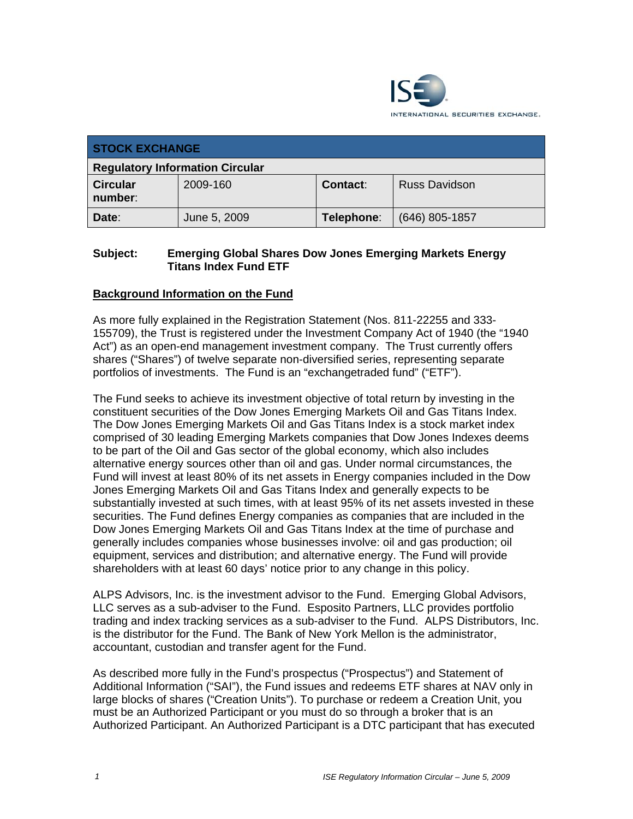

| <b>STOCK EXCHANGE</b>                  |              |            |                      |
|----------------------------------------|--------------|------------|----------------------|
| <b>Regulatory Information Circular</b> |              |            |                      |
| <b>Circular</b><br>number:             | 2009-160     | Contact:   | <b>Russ Davidson</b> |
| Date:                                  | June 5, 2009 | Telephone: | $(646)$ 805-1857     |

## **Subject: Emerging Global Shares Dow Jones Emerging Markets Energy Titans Index Fund ETF**

# **Background Information on the Fund**

As more fully explained in the Registration Statement (Nos. 811-22255 and 333- 155709), the Trust is registered under the Investment Company Act of 1940 (the "1940 Act") as an open-end management investment company. The Trust currently offers shares ("Shares") of twelve separate non-diversified series, representing separate portfolios of investments. The Fund is an "exchangetraded fund" ("ETF").

The Fund seeks to achieve its investment objective of total return by investing in the constituent securities of the Dow Jones Emerging Markets Oil and Gas Titans Index. The Dow Jones Emerging Markets Oil and Gas Titans Index is a stock market index comprised of 30 leading Emerging Markets companies that Dow Jones Indexes deems to be part of the Oil and Gas sector of the global economy, which also includes alternative energy sources other than oil and gas. Under normal circumstances, the Fund will invest at least 80% of its net assets in Energy companies included in the Dow Jones Emerging Markets Oil and Gas Titans Index and generally expects to be substantially invested at such times, with at least 95% of its net assets invested in these securities. The Fund defines Energy companies as companies that are included in the Dow Jones Emerging Markets Oil and Gas Titans Index at the time of purchase and generally includes companies whose businesses involve: oil and gas production; oil equipment, services and distribution; and alternative energy. The Fund will provide shareholders with at least 60 days' notice prior to any change in this policy.

ALPS Advisors, Inc. is the investment advisor to the Fund. Emerging Global Advisors, LLC serves as a sub-adviser to the Fund. Esposito Partners, LLC provides portfolio trading and index tracking services as a sub-adviser to the Fund. ALPS Distributors, Inc. is the distributor for the Fund. The Bank of New York Mellon is the administrator, accountant, custodian and transfer agent for the Fund.

As described more fully in the Fund's prospectus ("Prospectus") and Statement of Additional Information ("SAI"), the Fund issues and redeems ETF shares at NAV only in large blocks of shares ("Creation Units"). To purchase or redeem a Creation Unit, you must be an Authorized Participant or you must do so through a broker that is an Authorized Participant. An Authorized Participant is a DTC participant that has executed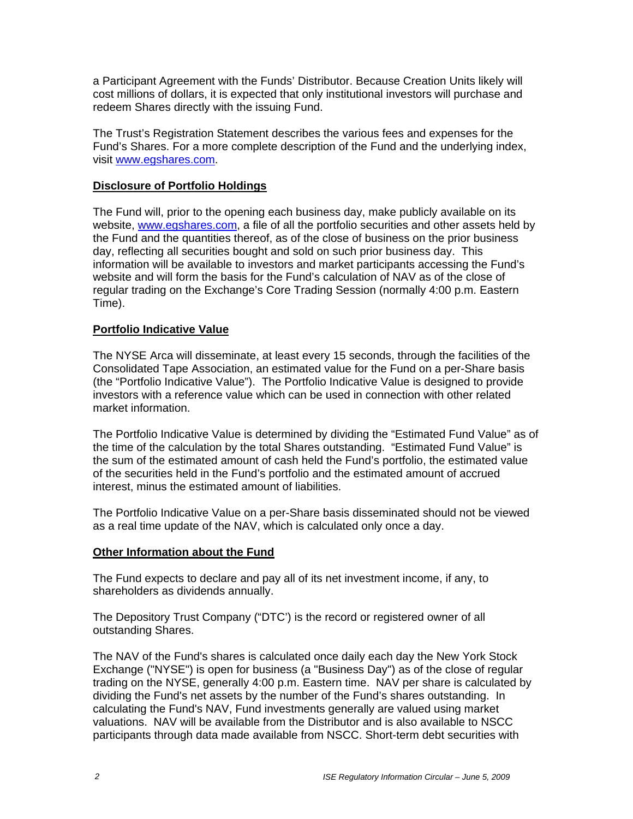a Participant Agreement with the Funds' Distributor. Because Creation Units likely will cost millions of dollars, it is expected that only institutional investors will purchase and redeem Shares directly with the issuing Fund.

The Trust's Registration Statement describes the various fees and expenses for the Fund's Shares. For a more complete description of the Fund and the underlying index, visit www.egshares.com.

## **Disclosure of Portfolio Holdings**

The Fund will, prior to the opening each business day, make publicly available on its website, www.egshares.com, a file of all the portfolio securities and other assets held by the Fund and the quantities thereof, as of the close of business on the prior business day, reflecting all securities bought and sold on such prior business day. This information will be available to investors and market participants accessing the Fund's website and will form the basis for the Fund's calculation of NAV as of the close of regular trading on the Exchange's Core Trading Session (normally 4:00 p.m. Eastern Time).

## **Portfolio Indicative Value**

The NYSE Arca will disseminate, at least every 15 seconds, through the facilities of the Consolidated Tape Association, an estimated value for the Fund on a per-Share basis (the "Portfolio Indicative Value"). The Portfolio Indicative Value is designed to provide investors with a reference value which can be used in connection with other related market information.

The Portfolio Indicative Value is determined by dividing the "Estimated Fund Value" as of the time of the calculation by the total Shares outstanding. "Estimated Fund Value" is the sum of the estimated amount of cash held the Fund's portfolio, the estimated value of the securities held in the Fund's portfolio and the estimated amount of accrued interest, minus the estimated amount of liabilities.

The Portfolio Indicative Value on a per-Share basis disseminated should not be viewed as a real time update of the NAV, which is calculated only once a day.

#### **Other Information about the Fund**

The Fund expects to declare and pay all of its net investment income, if any, to shareholders as dividends annually.

The Depository Trust Company ("DTC') is the record or registered owner of all outstanding Shares.

The NAV of the Fund's shares is calculated once daily each day the New York Stock Exchange ("NYSE") is open for business (a "Business Day") as of the close of regular trading on the NYSE, generally 4:00 p.m. Eastern time. NAV per share is calculated by dividing the Fund's net assets by the number of the Fund's shares outstanding. In calculating the Fund's NAV, Fund investments generally are valued using market valuations. NAV will be available from the Distributor and is also available to NSCC participants through data made available from NSCC. Short-term debt securities with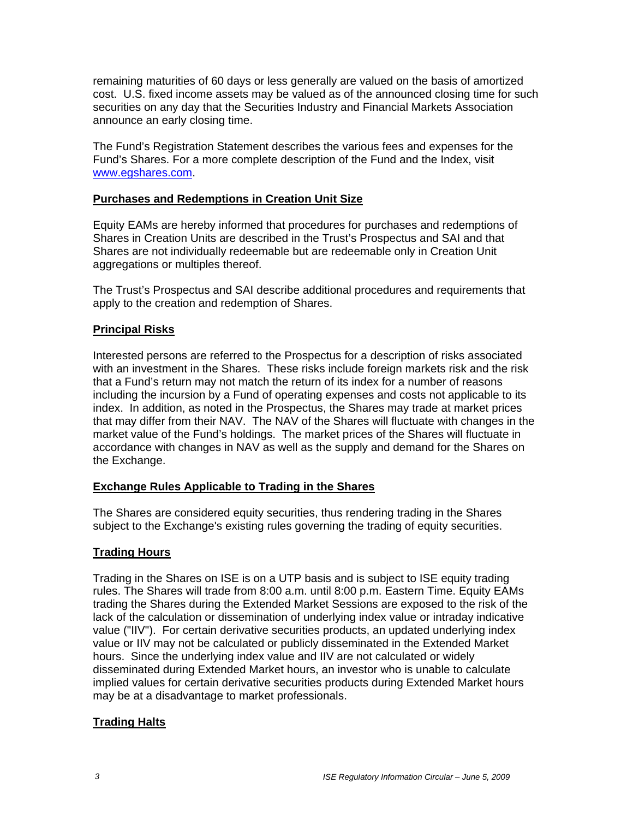remaining maturities of 60 days or less generally are valued on the basis of amortized cost. U.S. fixed income assets may be valued as of the announced closing time for such securities on any day that the Securities Industry and Financial Markets Association announce an early closing time.

The Fund's Registration Statement describes the various fees and expenses for the Fund's Shares. For a more complete description of the Fund and the Index, visit www.egshares.com.

## **Purchases and Redemptions in Creation Unit Size**

Equity EAMs are hereby informed that procedures for purchases and redemptions of Shares in Creation Units are described in the Trust's Prospectus and SAI and that Shares are not individually redeemable but are redeemable only in Creation Unit aggregations or multiples thereof.

The Trust's Prospectus and SAI describe additional procedures and requirements that apply to the creation and redemption of Shares.

#### **Principal Risks**

Interested persons are referred to the Prospectus for a description of risks associated with an investment in the Shares. These risks include foreign markets risk and the risk that a Fund's return may not match the return of its index for a number of reasons including the incursion by a Fund of operating expenses and costs not applicable to its index. In addition, as noted in the Prospectus, the Shares may trade at market prices that may differ from their NAV. The NAV of the Shares will fluctuate with changes in the market value of the Fund's holdings. The market prices of the Shares will fluctuate in accordance with changes in NAV as well as the supply and demand for the Shares on the Exchange.

#### **Exchange Rules Applicable to Trading in the Shares**

The Shares are considered equity securities, thus rendering trading in the Shares subject to the Exchange's existing rules governing the trading of equity securities.

#### **Trading Hours**

Trading in the Shares on ISE is on a UTP basis and is subject to ISE equity trading rules. The Shares will trade from 8:00 a.m. until 8:00 p.m. Eastern Time. Equity EAMs trading the Shares during the Extended Market Sessions are exposed to the risk of the lack of the calculation or dissemination of underlying index value or intraday indicative value ("IIV"). For certain derivative securities products, an updated underlying index value or IIV may not be calculated or publicly disseminated in the Extended Market hours. Since the underlying index value and IIV are not calculated or widely disseminated during Extended Market hours, an investor who is unable to calculate implied values for certain derivative securities products during Extended Market hours may be at a disadvantage to market professionals.

## **Trading Halts**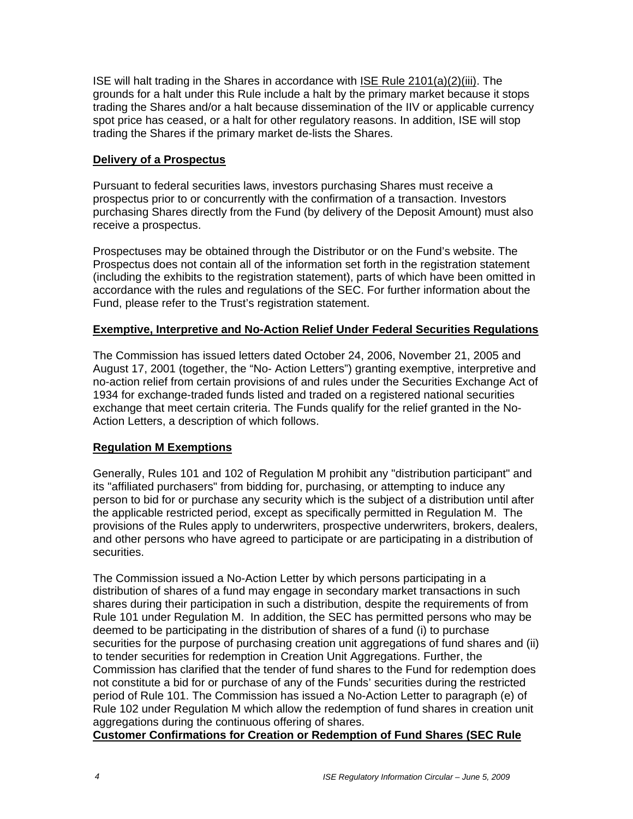ISE will halt trading in the Shares in accordance with ISE Rule 2101(a)(2)(iii). The grounds for a halt under this Rule include a halt by the primary market because it stops trading the Shares and/or a halt because dissemination of the IIV or applicable currency spot price has ceased, or a halt for other regulatory reasons. In addition, ISE will stop trading the Shares if the primary market de-lists the Shares.

#### **Delivery of a Prospectus**

Pursuant to federal securities laws, investors purchasing Shares must receive a prospectus prior to or concurrently with the confirmation of a transaction. Investors purchasing Shares directly from the Fund (by delivery of the Deposit Amount) must also receive a prospectus.

Prospectuses may be obtained through the Distributor or on the Fund's website. The Prospectus does not contain all of the information set forth in the registration statement (including the exhibits to the registration statement), parts of which have been omitted in accordance with the rules and regulations of the SEC. For further information about the Fund, please refer to the Trust's registration statement.

#### **Exemptive, Interpretive and No-Action Relief Under Federal Securities Regulations**

The Commission has issued letters dated October 24, 2006, November 21, 2005 and August 17, 2001 (together, the "No- Action Letters") granting exemptive, interpretive and no-action relief from certain provisions of and rules under the Securities Exchange Act of 1934 for exchange-traded funds listed and traded on a registered national securities exchange that meet certain criteria. The Funds qualify for the relief granted in the No-Action Letters, a description of which follows.

## **Regulation M Exemptions**

Generally, Rules 101 and 102 of Regulation M prohibit any "distribution participant" and its "affiliated purchasers" from bidding for, purchasing, or attempting to induce any person to bid for or purchase any security which is the subject of a distribution until after the applicable restricted period, except as specifically permitted in Regulation M. The provisions of the Rules apply to underwriters, prospective underwriters, brokers, dealers, and other persons who have agreed to participate or are participating in a distribution of securities.

The Commission issued a No-Action Letter by which persons participating in a distribution of shares of a fund may engage in secondary market transactions in such shares during their participation in such a distribution, despite the requirements of from Rule 101 under Regulation M. In addition, the SEC has permitted persons who may be deemed to be participating in the distribution of shares of a fund (i) to purchase securities for the purpose of purchasing creation unit aggregations of fund shares and (ii) to tender securities for redemption in Creation Unit Aggregations. Further, the Commission has clarified that the tender of fund shares to the Fund for redemption does not constitute a bid for or purchase of any of the Funds' securities during the restricted period of Rule 101. The Commission has issued a No-Action Letter to paragraph (e) of Rule 102 under Regulation M which allow the redemption of fund shares in creation unit aggregations during the continuous offering of shares.

## **Customer Confirmations for Creation or Redemption of Fund Shares (SEC Rule**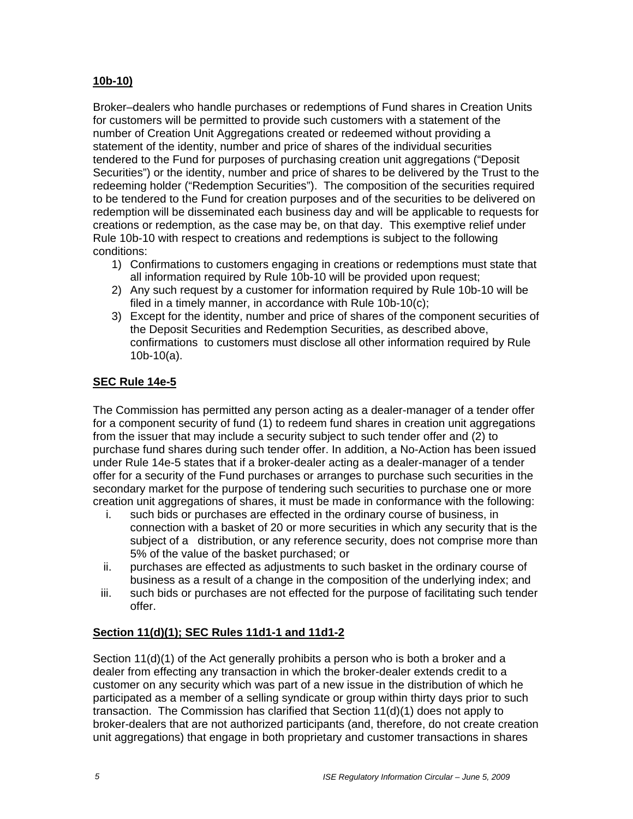# **10b-10)**

Broker–dealers who handle purchases or redemptions of Fund shares in Creation Units for customers will be permitted to provide such customers with a statement of the number of Creation Unit Aggregations created or redeemed without providing a statement of the identity, number and price of shares of the individual securities tendered to the Fund for purposes of purchasing creation unit aggregations ("Deposit Securities") or the identity, number and price of shares to be delivered by the Trust to the redeeming holder ("Redemption Securities"). The composition of the securities required to be tendered to the Fund for creation purposes and of the securities to be delivered on redemption will be disseminated each business day and will be applicable to requests for creations or redemption, as the case may be, on that day. This exemptive relief under Rule 10b-10 with respect to creations and redemptions is subject to the following conditions:

- 1) Confirmations to customers engaging in creations or redemptions must state that all information required by Rule 10b-10 will be provided upon request;
- 2) Any such request by a customer for information required by Rule 10b-10 will be filed in a timely manner, in accordance with Rule 10b-10(c);
- 3) Except for the identity, number and price of shares of the component securities of the Deposit Securities and Redemption Securities, as described above, confirmations to customers must disclose all other information required by Rule 10b-10(a).

## **SEC Rule 14e-5**

The Commission has permitted any person acting as a dealer-manager of a tender offer for a component security of fund (1) to redeem fund shares in creation unit aggregations from the issuer that may include a security subject to such tender offer and (2) to purchase fund shares during such tender offer. In addition, a No-Action has been issued under Rule 14e-5 states that if a broker-dealer acting as a dealer-manager of a tender offer for a security of the Fund purchases or arranges to purchase such securities in the secondary market for the purpose of tendering such securities to purchase one or more creation unit aggregations of shares, it must be made in conformance with the following:

- i. such bids or purchases are effected in the ordinary course of business, in connection with a basket of 20 or more securities in which any security that is the subject of a distribution, or any reference security, does not comprise more than 5% of the value of the basket purchased; or
- ii. purchases are effected as adjustments to such basket in the ordinary course of business as a result of a change in the composition of the underlying index; and
- iii. such bids or purchases are not effected for the purpose of facilitating such tender offer.

# **Section 11(d)(1); SEC Rules 11d1-1 and 11d1-2**

Section 11(d)(1) of the Act generally prohibits a person who is both a broker and a dealer from effecting any transaction in which the broker-dealer extends credit to a customer on any security which was part of a new issue in the distribution of which he participated as a member of a selling syndicate or group within thirty days prior to such transaction. The Commission has clarified that Section 11(d)(1) does not apply to broker-dealers that are not authorized participants (and, therefore, do not create creation unit aggregations) that engage in both proprietary and customer transactions in shares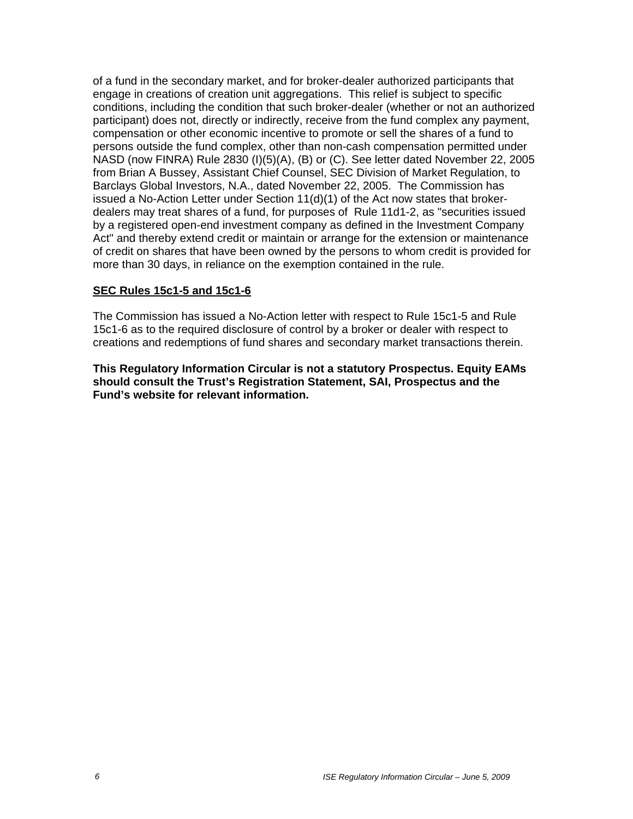of a fund in the secondary market, and for broker-dealer authorized participants that engage in creations of creation unit aggregations. This relief is subject to specific conditions, including the condition that such broker-dealer (whether or not an authorized participant) does not, directly or indirectly, receive from the fund complex any payment, compensation or other economic incentive to promote or sell the shares of a fund to persons outside the fund complex, other than non-cash compensation permitted under NASD (now FINRA) Rule 2830 (I)(5)(A), (B) or (C). See letter dated November 22, 2005 from Brian A Bussey, Assistant Chief Counsel, SEC Division of Market Regulation, to Barclays Global Investors, N.A., dated November 22, 2005. The Commission has issued a No-Action Letter under Section 11(d)(1) of the Act now states that brokerdealers may treat shares of a fund, for purposes of Rule 11d1-2, as "securities issued by a registered open-end investment company as defined in the Investment Company Act" and thereby extend credit or maintain or arrange for the extension or maintenance of credit on shares that have been owned by the persons to whom credit is provided for more than 30 days, in reliance on the exemption contained in the rule.

#### **SEC Rules 15c1-5 and 15c1-6**

The Commission has issued a No-Action letter with respect to Rule 15c1-5 and Rule 15c1-6 as to the required disclosure of control by a broker or dealer with respect to creations and redemptions of fund shares and secondary market transactions therein.

**This Regulatory Information Circular is not a statutory Prospectus. Equity EAMs should consult the Trust's Registration Statement, SAI, Prospectus and the Fund's website for relevant information.**